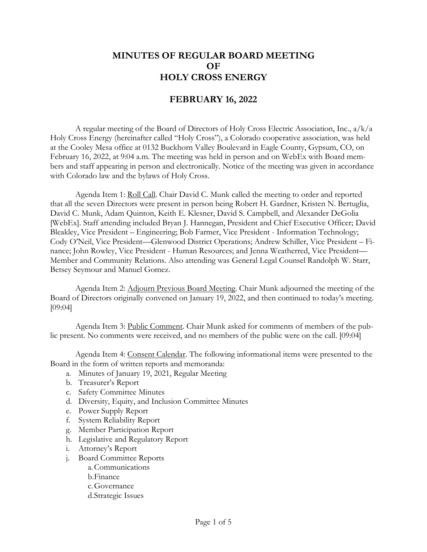## **MINUTES OF REGULAR BOARD MEETING OF HOLY CROSS ENERGY**

## **FEBRUARY 16, 2022**

A regular meeting of the Board of Directors of Holy Cross Electric Association, Inc., a/k/a Holy Cross Energy (hereinafter called "Holy Cross"), a Colorado cooperative association, was held at the Cooley Mesa office at 0132 Buckhorn Valley Boulevard in Eagle County, Gypsum, CO, on February 16, 2022, at 9:04 a.m. The meeting was held in person and on WebEx with Board members and staff appearing in person and electronically. Notice of the meeting was given in accordance with Colorado law and the bylaws of Holy Cross.

Agenda Item 1: Roll Call. Chair David C. Munk called the meeting to order and reported that all the seven Directors were present in person being Robert H. Gardner, Kristen N. Bertuglia, David C. Munk, Adam Quinton, Keith E. Klesner, David S. Campbell, and Alexander DeGolia [WebEx]. Staff attending included Bryan J. Hannegan, President and Chief Executive Officer; David Bleakley, Vice President – Engineering; Bob Farmer, Vice President - Information Technology; Cody O'Neil, Vice President—Glenwood District Operations; Andrew Schiller, Vice President – Finance; John Rowley, Vice President - Human Resources; and Jenna Weatherred, Vice President— Member and Community Relations. Also attending was General Legal Counsel Randolph W. Starr, Betsey Seymour and Manuel Gomez.

Agenda Item 2: Adjourn Previous Board Meeting. Chair Munk adjourned the meeting of the Board of Directors originally convened on January 19, 2022, and then continued to today's meeting. [09:04]

Agenda Item 3: Public Comment. Chair Munk asked for comments of members of the public present. No comments were received, and no members of the public were on the call. [09:04]

Agenda Item 4: Consent Calendar. The following informational items were presented to the Board in the form of written reports and memoranda:

- a. Minutes of January 19, 2021, Regular Meeting
- b. Treasurer's Report
- c. Safety Committee Minutes
- d. Diversity, Equity, and Inclusion Committee Minutes
- e. Power Supply Report
- f. System Reliability Report
- g. Member Participation Report
- h. Legislative and Regulatory Report
- i. Attorney's Report
- j. Board Committee Reports
	- a.Communications
		- b.Finance
		- c.Governance
		- d.Strategic Issues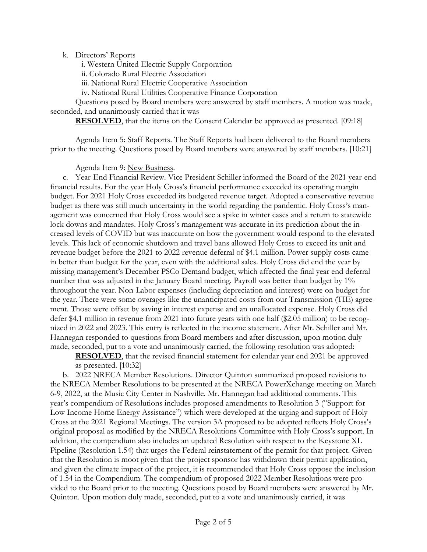k. Directors' Reports

i. Western United Electric Supply Corporation

ii. Colorado Rural Electric Association

iii. National Rural Electric Cooperative Association

iv. National Rural Utilities Cooperative Finance Corporation

Questions posed by Board members were answered by staff members. A motion was made, seconded, and unanimously carried that it was

**RESOLVED**, that the items on the Consent Calendar be approved as presented. [09:18]

Agenda Item 5: Staff Reports. The Staff Reports had been delivered to the Board members prior to the meeting. Questions posed by Board members were answered by staff members. [10:21]

Agenda Item 9: New Business.

c. Year-End Financial Review. Vice President Schiller informed the Board of the 2021 year-end financial results. For the year Holy Cross's financial performance exceeded its operating margin budget. For 2021 Holy Cross exceeded its budgeted revenue target. Adopted a conservative revenue budget as there was still much uncertainty in the world regarding the pandemic. Holy Cross's management was concerned that Holy Cross would see a spike in winter cases and a return to statewide lock downs and mandates. Holy Cross's management was accurate in its prediction about the increased levels of COVID but was inaccurate on how the government would respond to the elevated levels. This lack of economic shutdown and travel bans allowed Holy Cross to exceed its unit and revenue budget before the 2021 to 2022 revenue deferral of \$4.1 million. Power supply costs came in better than budget for the year, even with the additional sales. Holy Cross did end the year by missing management's December PSCo Demand budget, which affected the final year end deferral number that was adjusted in the January Board meeting. Payroll was better than budget by 1% throughout the year. Non-Labor expenses (including depreciation and interest) were on budget for the year. There were some overages like the unanticipated costs from our Transmission (TIE) agreement. Those were offset by saving in interest expense and an unallocated expense. Holy Cross did defer \$4.1 million in revenue from 2021 into future years with one half (\$2.05 million) to be recognized in 2022 and 2023. This entry is reflected in the income statement. After Mr. Schiller and Mr. Hannegan responded to questions from Board members and after discussion, upon motion duly made, seconded, put to a vote and unanimously carried, the following resolution was adopted:

**RESOLVED**, that the revised financial statement for calendar year end 2021 be approved as presented. [10:32]

b. 2022 NRECA Member Resolutions. Director Quinton summarized proposed revisions to the NRECA Member Resolutions to be presented at the NRECA PowerXchange meeting on March 6-9, 2022, at the Music City Center in Nashville. Mr. Hannegan had additional comments. This year's compendium of Resolutions includes proposed amendments to Resolution 3 ("Support for Low Income Home Energy Assistance") which were developed at the urging and support of Holy Cross at the 2021 Regional Meetings. The version 3A proposed to be adopted reflects Holy Cross's original proposal as modified by the NRECA Resolutions Committee with Holy Cross's support. In addition, the compendium also includes an updated Resolution with respect to the Keystone XL Pipeline (Resolution 1.54) that urges the Federal reinstatement of the permit for that project. Given that the Resolution is moot given that the project sponsor has withdrawn their permit application, and given the climate impact of the project, it is recommended that Holy Cross oppose the inclusion of 1.54 in the Compendium. The compendium of proposed 2022 Member Resolutions were provided to the Board prior to the meeting. Questions posed by Board members were answered by Mr. Quinton. Upon motion duly made, seconded, put to a vote and unanimously carried, it was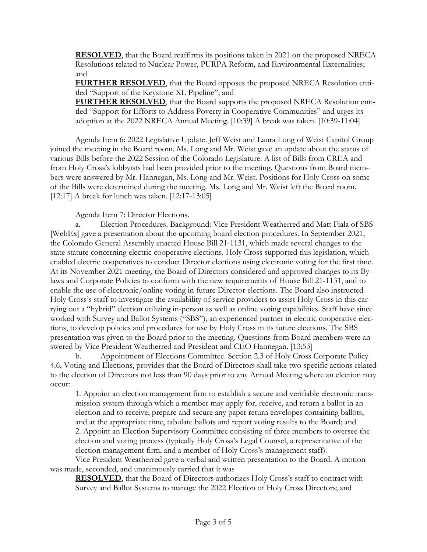**RESOLVED**, that the Board reaffirms its positions taken in 2021 on the proposed NRECA Resolutions related to Nuclear Power, PURPA Reform, and Environmental Externalities; and

**FURTHER RESOLVED**, that the Board opposes the proposed NRECA Resolution entitled "Support of the Keystone XL Pipeline"; and

**FURTHER RESOLVED**, that the Board supports the proposed NRECA Resolution entitled "Support for Efforts to Address Poverty in Cooperative Communities" and urges its adoption at the 2022 NRECA Annual Meeting. [10:39] A break was taken. [10:39-11:04]

Agenda Item 6: 2022 Legislative Update. Jeff Weist and Laura Long of Weist Capitol Group joined the meeting in the Board room. Ms. Long and Mr. Weist gave an update about the status of various Bills before the 2022 Session of the Colorado Legislature. A list of Bills from CREA and from Holy Cross's lobbyists had been provided prior to the meeting. Questions from Board members were answered by Mr. Hannegan, Ms. Long and Mr. Weist. Positions for Holy Cross on some of the Bills were determined during the meeting. Ms. Long and Mr. Weist left the Board room. [12:17] A break for lunch was taken. [12:17-13:05]

Agenda Item 7: Director Elections.

a. Election Procedures. Background: Vice President Weatherred and Matt Fiala of SBS [WebEx] gave a presentation about the upcoming board election procedures. In September 2021, the Colorado General Assembly enacted House Bill 21-1131, which made several changes to the state statute concerning electric cooperative elections. Holy Cross supported this legislation, which enabled electric cooperatives to conduct Director elections using electronic voting for the first time. At its November 2021 meeting, the Board of Directors considered and approved changes to its Bylaws and Corporate Policies to conform with the new requirements of House Bill 21-1131, and to enable the use of electronic/online voting in future Director elections. The Board also instructed Holy Cross's staff to investigate the availability of service providers to assist Holy Cross in this carrying out a "hybrid" election utilizing in-person as well as online voting capabilities. Staff have since worked with Survey and Ballot Systems ("SBS"), an experienced partner in electric cooperative elections, to develop policies and procedures for use by Holy Cross in its future elections. The SBS presentation was given to the Board prior to the meeting. Questions from Board members were answered by Vice President Weatherred and President and CEO Hannegan. [13:53]

b. Appointment of Elections Committee. Section 2.3 of Holy Cross Corporate Policy 4.6, Voting and Elections, provides that the Board of Directors shall take two specific actions related to the election of Directors not less than 90 days prior to any Annual Meeting where an election may occur:

1. Appoint an election management firm to establish a secure and verifiable electronic transmission system through which a member may apply for, receive, and return a ballot in an election and to receive, prepare and secure any paper return envelopes containing ballots, and at the appropriate time, tabulate ballots and report voting results to the Board; and 2. Appoint an Election Supervisory Committee consisting of three members to oversee the election and voting process (typically Holy Cross's Legal Counsel, a representative of the election management firm, and a member of Holy Cross's management staff).

Vice President Weatherred gave a verbal and written presentation to the Board. A motion was made, seconded, and unanimously carried that it was

**RESOLVED**, that the Board of Directors authorizes Holy Cross's staff to contract with Survey and Ballot Systems to manage the 2022 Election of Holy Cross Directors; and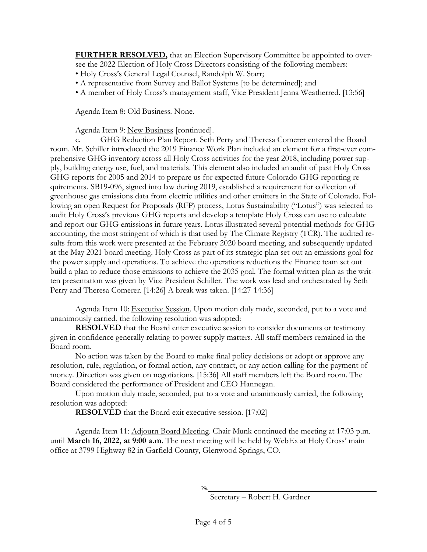**FURTHER RESOLVED,** that an Election Supervisory Committee be appointed to oversee the 2022 Election of Holy Cross Directors consisting of the following members:

- Holy Cross's General Legal Counsel, Randolph W. Starr;
- A representative from Survey and Ballot Systems [to be determined]; and
- A member of Holy Cross's management staff, Vice President Jenna Weatherred. [13:56]

Agenda Item 8: Old Business. None.

Agenda Item 9: New Business [continued].

c. GHG Reduction Plan Report. Seth Perry and Theresa Comerer entered the Board room. Mr. Schiller introduced the 2019 Finance Work Plan included an element for a first-ever comprehensive GHG inventory across all Holy Cross activities for the year 2018, including power supply, building energy use, fuel, and materials. This element also included an audit of past Holy Cross GHG reports for 2005 and 2014 to prepare us for expected future Colorado GHG reporting requirements. SB19-096, signed into law during 2019, established a requirement for collection of greenhouse gas emissions data from electric utilities and other emitters in the State of Colorado. Following an open Request for Proposals (RFP) process, Lotus Sustainability ("Lotus") was selected to audit Holy Cross's previous GHG reports and develop a template Holy Cross can use to calculate and report our GHG emissions in future years. Lotus illustrated several potential methods for GHG accounting, the most stringent of which is that used by The Climate Registry (TCR). The audited results from this work were presented at the February 2020 board meeting, and subsequently updated at the May 2021 board meeting. Holy Cross as part of its strategic plan set out an emissions goal for the power supply and operations. To achieve the operations reductions the Finance team set out build a plan to reduce those emissions to achieve the 2035 goal. The formal written plan as the written presentation was given by Vice President Schiller. The work was lead and orchestrated by Seth Perry and Theresa Comerer. [14:26] A break was taken. [14:27-14:36]

Agenda Item 10: Executive Session. Upon motion duly made, seconded, put to a vote and unanimously carried, the following resolution was adopted:

**RESOLVED** that the Board enter executive session to consider documents or testimony given in confidence generally relating to power supply matters. All staff members remained in the Board room.

No action was taken by the Board to make final policy decisions or adopt or approve any resolution, rule, regulation, or formal action, any contract, or any action calling for the payment of money. Direction was given on negotiations. [15:36] All staff members left the Board room. The Board considered the performance of President and CEO Hannegan.

Upon motion duly made, seconded, put to a vote and unanimously carried, the following resolution was adopted:

**RESOLVED** that the Board exit executive session. [17:02]

Agenda Item 11: Adjourn Board Meeting. Chair Munk continued the meeting at 17:03 p.m. until **March 16, 2022, at 9:00 a.m**. The next meeting will be held by WebEx at Holy Cross' main office at 3799 Highway 82 in Garfield County, Glenwood Springs, CO.

Á

Secretary – Robert H. Gardner